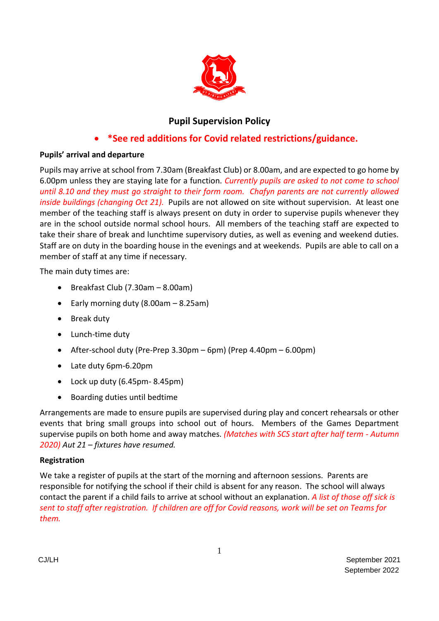

# **Pupil Supervision Policy**

# • **\*See red additions for Covid related restrictions/guidance.**

# **Pupils' arrival and departure**

Pupils may arrive at school from 7.30am (Breakfast Club) or 8.00am, and are expected to go home by 6.00pm unless they are staying late for a function. *Currently pupils are asked to not come to school until 8.10 and they must go straight to their form room. Chafyn parents are not currently allowed inside buildings (changing Oct 21).* Pupils are not allowed on site without supervision. At least one member of the teaching staff is always present on duty in order to supervise pupils whenever they are in the school outside normal school hours. All members of the teaching staff are expected to take their share of break and lunchtime supervisory duties, as well as evening and weekend duties. Staff are on duty in the boarding house in the evenings and at weekends. Pupils are able to call on a member of staff at any time if necessary.

The main duty times are:

- Breakfast Club (7.30am 8.00am)
- Early morning duty (8.00am 8.25am)
- Break duty
- Lunch-time duty
- After-school duty (Pre-Prep  $3.30$ pm 6pm) (Prep  $4.40$ pm  $6.00$ pm)
- Late duty 6pm-6.20pm
- Lock up duty (6.45pm- 8.45pm)
- Boarding duties until bedtime

Arrangements are made to ensure pupils are supervised during play and concert rehearsals or other events that bring small groups into school out of hours. Members of the Games Department supervise pupils on both home and away matches. *(Matches with SCS start after half term - Autumn 2020) Aut 21 – fixtures have resumed.*

## **Registration**

We take a register of pupils at the start of the morning and afternoon sessions. Parents are responsible for notifying the school if their child is absent for any reason. The school will always contact the parent if a child fails to arrive at school without an explanation. *A list of those off sick is sent to staff after registration. If children are off for Covid reasons, work will be set on Teams for them.*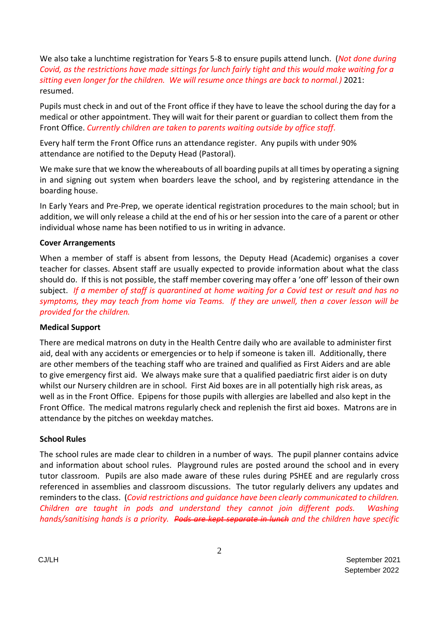We also take a lunchtime registration for Years 5-8 to ensure pupils attend lunch. (*Not done during Covid, as the restrictions have made sittings for lunch fairly tight and this would make waiting for a sitting even longer for the children. We will resume once things are back to normal.)* 2021: resumed.

Pupils must check in and out of the Front office if they have to leave the school during the day for a medical or other appointment. They will wait for their parent or guardian to collect them from the Front Office. *Currently children are taken to parents waiting outside by office staff.*

Every half term the Front Office runs an attendance register. Any pupils with under 90% attendance are notified to the Deputy Head (Pastoral).

We make sure that we know the whereabouts of all boarding pupils at all times by operating a signing in and signing out system when boarders leave the school, and by registering attendance in the boarding house.

In Early Years and Pre-Prep, we operate identical registration procedures to the main school; but in addition, we will only release a child at the end of his or her session into the care of a parent or other individual whose name has been notified to us in writing in advance.

#### **Cover Arrangements**

When a member of staff is absent from lessons, the Deputy Head (Academic) organises a cover teacher for classes. Absent staff are usually expected to provide information about what the class should do. If this is not possible, the staff member covering may offer a 'one off' lesson of their own subject. *If a member of staff is quarantined at home waiting for a Covid test or result and has no symptoms, they may teach from home via Teams. If they are unwell, then a cover lesson will be provided for the children.* 

#### **Medical Support**

There are medical matrons on duty in the Health Centre daily who are available to administer first aid, deal with any accidents or emergencies or to help if someone is taken ill. Additionally, there are other members of the teaching staff who are trained and qualified as First Aiders and are able to give emergency first aid. We always make sure that a qualified paediatric first aider is on duty whilst our Nursery children are in school. First Aid boxes are in all potentially high risk areas, as well as in the Front Office. Epipens for those pupils with allergies are labelled and also kept in the Front Office. The medical matrons regularly check and replenish the first aid boxes. Matrons are in attendance by the pitches on weekday matches.

#### **School Rules**

The school rules are made clear to children in a number of ways. The pupil planner contains advice and information about school rules. Playground rules are posted around the school and in every tutor classroom. Pupils are also made aware of these rules during PSHEE and are regularly cross referenced in assemblies and classroom discussions. The tutor regularly delivers any updates and reminders to the class. (*Covid restrictions and guidance have been clearly communicated to children. Children are taught in pods and understand they cannot join different pods. Washing hands/sanitising hands is a priority. Pods are kept separate in lunch and the children have specific*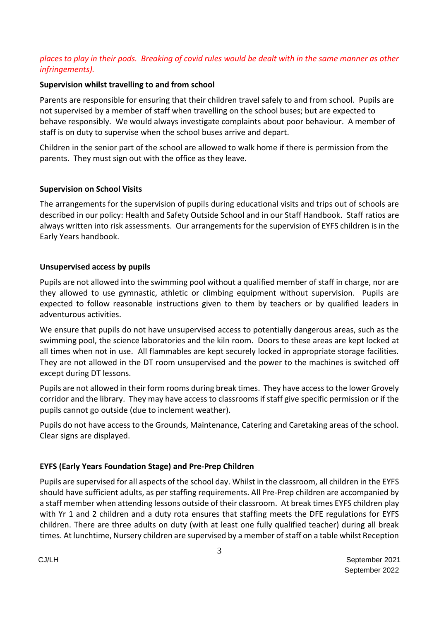# *places to play in their pods. Breaking of covid rules would be dealt with in the same manner as other infringements).*

### **Supervision whilst travelling to and from school**

Parents are responsible for ensuring that their children travel safely to and from school. Pupils are not supervised by a member of staff when travelling on the school buses; but are expected to behave responsibly. We would always investigate complaints about poor behaviour. A member of staff is on duty to supervise when the school buses arrive and depart.

Children in the senior part of the school are allowed to walk home if there is permission from the parents. They must sign out with the office as they leave.

### **Supervision on School Visits**

The arrangements for the supervision of pupils during educational visits and trips out of schools are described in our policy: Health and Safety Outside School and in our Staff Handbook. Staff ratios are always written into risk assessments. Our arrangements for the supervision of EYFS children is in the Early Years handbook.

### **Unsupervised access by pupils**

Pupils are not allowed into the swimming pool without a qualified member of staff in charge, nor are they allowed to use gymnastic, athletic or climbing equipment without supervision. Pupils are expected to follow reasonable instructions given to them by teachers or by qualified leaders in adventurous activities.

We ensure that pupils do not have unsupervised access to potentially dangerous areas, such as the swimming pool, the science laboratories and the kiln room. Doors to these areas are kept locked at all times when not in use. All flammables are kept securely locked in appropriate storage facilities. They are not allowed in the DT room unsupervised and the power to the machines is switched off except during DT lessons.

Pupils are not allowed in their form rooms during break times. They have access to the lower Grovely corridor and the library. They may have access to classrooms if staff give specific permission or if the pupils cannot go outside (due to inclement weather).

Pupils do not have access to the Grounds, Maintenance, Catering and Caretaking areas of the school. Clear signs are displayed.

## **EYFS (Early Years Foundation Stage) and Pre-Prep Children**

Pupils are supervised for all aspects of the school day. Whilst in the classroom, all children in the EYFS should have sufficient adults, as per staffing requirements. All Pre-Prep children are accompanied by a staff member when attending lessons outside of their classroom. At break times EYFS children play with Yr 1 and 2 children and a duty rota ensures that staffing meets the DFE regulations for EYFS children. There are three adults on duty (with at least one fully qualified teacher) during all break times. At lunchtime, Nursery children are supervised by a member of staff on a table whilst Reception